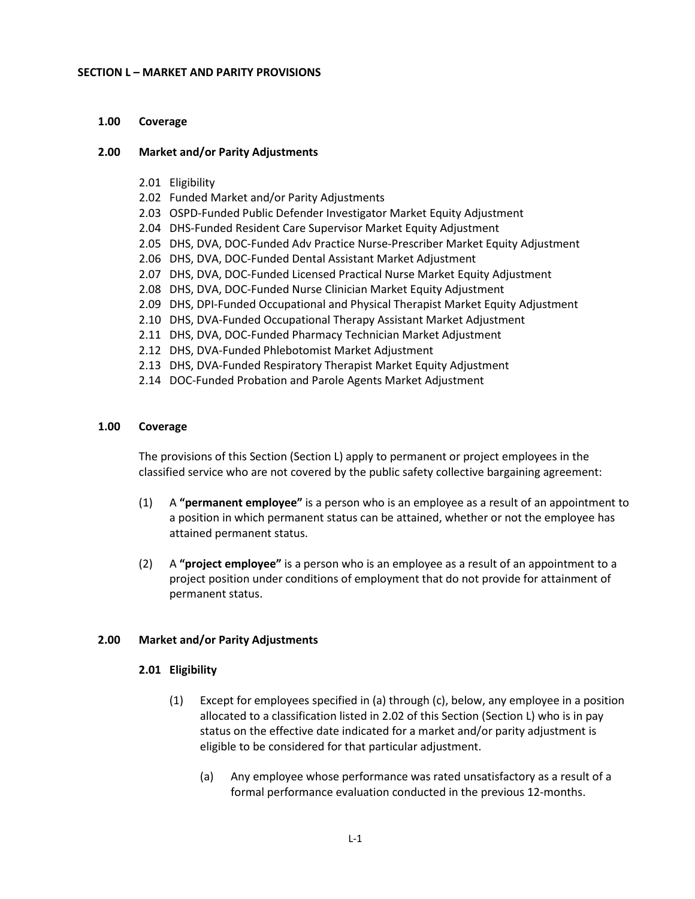#### **SECTION L – MARKET AND PARITY PROVISIONS**

### **1.00 Coverage**

### **2.00 Market and/or Parity Adjustments**

- 2.01 Eligibility
- 2.02 Funded Market and/or Parity Adjustments
- 2.03 OSPD-Funded Public Defender Investigator Market Equity Adjustment
- 2.04 DHS-Funded Resident Care Supervisor Market Equity Adjustment
- 2.05 DHS, DVA, DOC-Funded Adv Practice Nurse-Prescriber Market Equity Adjustment
- 2.06 DHS, DVA, DOC-Funded Dental Assistant Market Adjustment
- 2.07 DHS, DVA, DOC-Funded Licensed Practical Nurse Market Equity Adjustment
- 2.08 DHS, DVA, DOC-Funded Nurse Clinician Market Equity Adjustment
- 2.09 DHS, DPI-Funded Occupational and Physical Therapist Market Equity Adjustment
- 2.10 DHS, DVA-Funded Occupational Therapy Assistant Market Adjustment
- 2.11 DHS, DVA, DOC-Funded Pharmacy Technician Market Adjustment
- 2.12 DHS, DVA-Funded Phlebotomist Market Adjustment
- 2.13 DHS, DVA-Funded Respiratory Therapist Market Equity Adjustment
- 2.14 DOC-Funded Probation and Parole Agents Market Adjustment

#### **1.00 Coverage**

The provisions of this Section (Section L) apply to permanent or project employees in the classified service who are not covered by the public safety collective bargaining agreement:

- (1) A **"permanent employee"** is a person who is an employee as a result of an appointment to a position in which permanent status can be attained, whether or not the employee has attained permanent status.
- (2) A **"project employee"** is a person who is an employee as a result of an appointment to a project position under conditions of employment that do not provide for attainment of permanent status.

### **2.00 Market and/or Parity Adjustments**

### **2.01 Eligibility**

- (1) Except for employees specified in (a) through (c), below, any employee in a position allocated to a classification listed in 2.02 of this Section (Section L) who is in pay status on the effective date indicated for a market and/or parity adjustment is eligible to be considered for that particular adjustment.
	- (a) Any employee whose performance was rated unsatisfactory as a result of a formal performance evaluation conducted in the previous 12-months.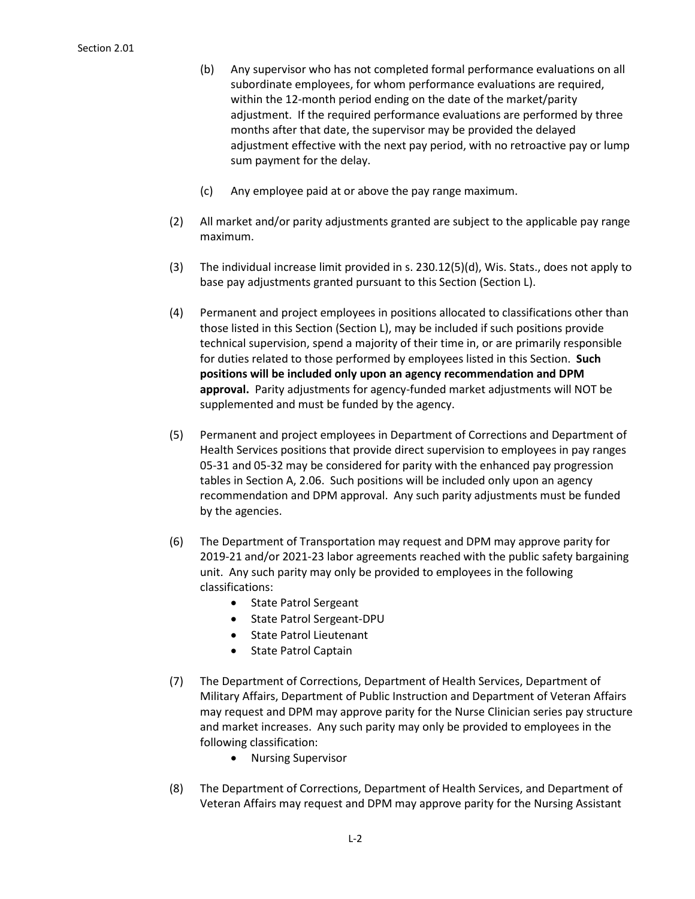- (b) Any supervisor who has not completed formal performance evaluations on all subordinate employees, for whom performance evaluations are required, within the 12-month period ending on the date of the market/parity adjustment. If the required performance evaluations are performed by three months after that date, the supervisor may be provided the delayed adjustment effective with the next pay period, with no retroactive pay or lump sum payment for the delay.
- (c) Any employee paid at or above the pay range maximum.
- (2) All market and/or parity adjustments granted are subject to the applicable pay range maximum.
- (3) The individual increase limit provided in s. 230.12(5)(d), Wis. Stats., does not apply to base pay adjustments granted pursuant to this Section (Section L).
- (4) Permanent and project employees in positions allocated to classifications other than those listed in this Section (Section L), may be included if such positions provide technical supervision, spend a majority of their time in, or are primarily responsible for duties related to those performed by employees listed in this Section. **Such positions will be included only upon an agency recommendation and DPM approval.** Parity adjustments for agency-funded market adjustments will NOT be supplemented and must be funded by the agency.
- (5) Permanent and project employees in Department of Corrections and Department of Health Services positions that provide direct supervision to employees in pay ranges 05-31 and 05-32 may be considered for parity with the enhanced pay progression tables in Section A, 2.06. Such positions will be included only upon an agency recommendation and DPM approval. Any such parity adjustments must be funded by the agencies.
- (6) The Department of Transportation may request and DPM may approve parity for 2019-21 and/or 2021-23 labor agreements reached with the public safety bargaining unit. Any such parity may only be provided to employees in the following classifications:
	- State Patrol Sergeant
	- State Patrol Sergeant-DPU
	- State Patrol Lieutenant
	- State Patrol Captain
- (7) The Department of Corrections, Department of Health Services, Department of Military Affairs, Department of Public Instruction and Department of Veteran Affairs may request and DPM may approve parity for the Nurse Clinician series pay structure and market increases. Any such parity may only be provided to employees in the following classification:
	- Nursing Supervisor
- (8) The Department of Corrections, Department of Health Services, and Department of Veteran Affairs may request and DPM may approve parity for the Nursing Assistant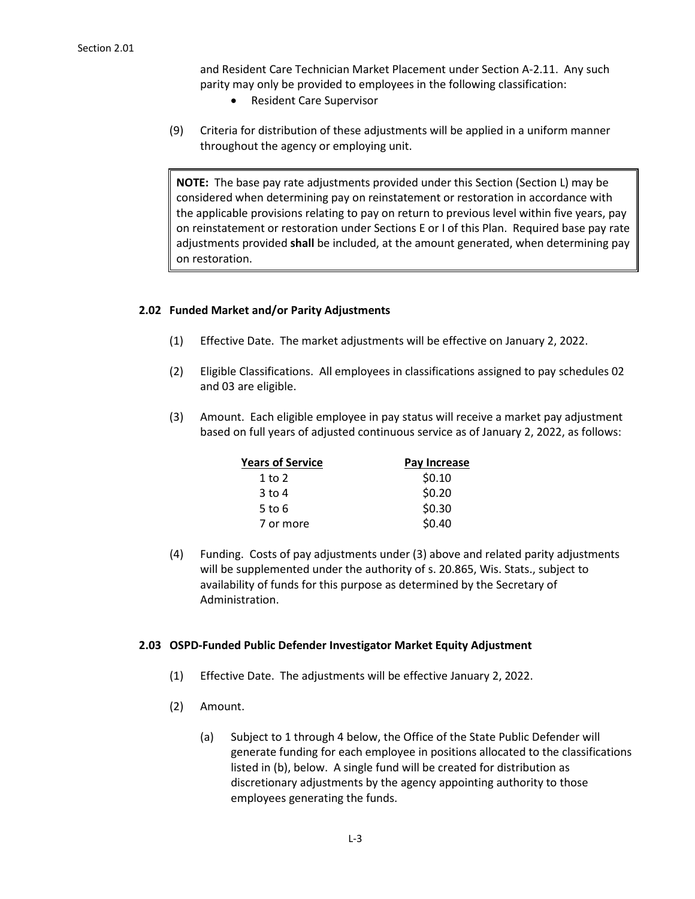and Resident Care Technician Market Placement under Section A-2.11. Any such parity may only be provided to employees in the following classification:

- Resident Care Supervisor
- (9) Criteria for distribution of these adjustments will be applied in a uniform manner throughout the agency or employing unit.

**NOTE:** The base pay rate adjustments provided under this Section (Section L) may be considered when determining pay on reinstatement or restoration in accordance with the applicable provisions relating to pay on return to previous level within five years, pay on reinstatement or restoration under Sections E or I of this Plan. Required base pay rate adjustments provided **shall** be included, at the amount generated, when determining pay on restoration.

## **2.02 Funded Market and/or Parity Adjustments**

- (1) Effective Date. The market adjustments will be effective on January 2, 2022.
- (2) Eligible Classifications. All employees in classifications assigned to pay schedules 02 and 03 are eligible.
- (3) Amount. Each eligible employee in pay status will receive a market pay adjustment based on full years of adjusted continuous service as of January 2, 2022, as follows:

| <b>Years of Service</b> | Pay Increase |
|-------------------------|--------------|
| $1$ to $2$              | \$0.10       |
| $3$ to $4$              | \$0.20       |
| 5 to $6$                | \$0.30       |
| 7 or more               | \$0.40       |

(4) Funding. Costs of pay adjustments under (3) above and related parity adjustments will be supplemented under the authority of s. 20.865, Wis. Stats., subject to availability of funds for this purpose as determined by the Secretary of Administration.

## **2.03 OSPD-Funded Public Defender Investigator Market Equity Adjustment**

- (1) Effective Date. The adjustments will be effective January 2, 2022.
- (2) Amount.
	- (a) Subject to 1 through 4 below, the Office of the State Public Defender will generate funding for each employee in positions allocated to the classifications listed in (b), below. A single fund will be created for distribution as discretionary adjustments by the agency appointing authority to those employees generating the funds.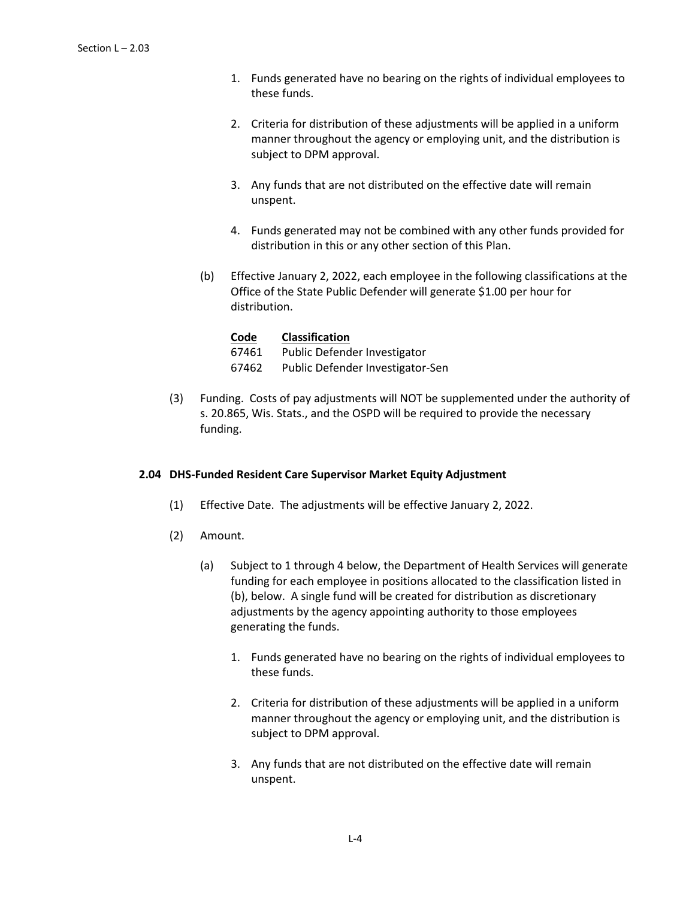- 1. Funds generated have no bearing on the rights of individual employees to these funds.
- 2. Criteria for distribution of these adjustments will be applied in a uniform manner throughout the agency or employing unit, and the distribution is subject to DPM approval.
- 3. Any funds that are not distributed on the effective date will remain unspent.
- 4. Funds generated may not be combined with any other funds provided for distribution in this or any other section of this Plan.
- (b) Effective January 2, 2022, each employee in the following classifications at the Office of the State Public Defender will generate \$1.00 per hour for distribution.

| Code  | <b>Classification</b>            |
|-------|----------------------------------|
| 67461 | Public Defender Investigator     |
| 67462 | Public Defender Investigator-Sen |

(3) Funding. Costs of pay adjustments will NOT be supplemented under the authority of s. 20.865, Wis. Stats., and the OSPD will be required to provide the necessary funding.

# **2.04 DHS-Funded Resident Care Supervisor Market Equity Adjustment**

- (1) Effective Date. The adjustments will be effective January 2, 2022.
- (2) Amount.
	- (a) Subject to 1 through 4 below, the Department of Health Services will generate funding for each employee in positions allocated to the classification listed in (b), below. A single fund will be created for distribution as discretionary adjustments by the agency appointing authority to those employees generating the funds.
		- 1. Funds generated have no bearing on the rights of individual employees to these funds.
		- 2. Criteria for distribution of these adjustments will be applied in a uniform manner throughout the agency or employing unit, and the distribution is subject to DPM approval.
		- 3. Any funds that are not distributed on the effective date will remain unspent.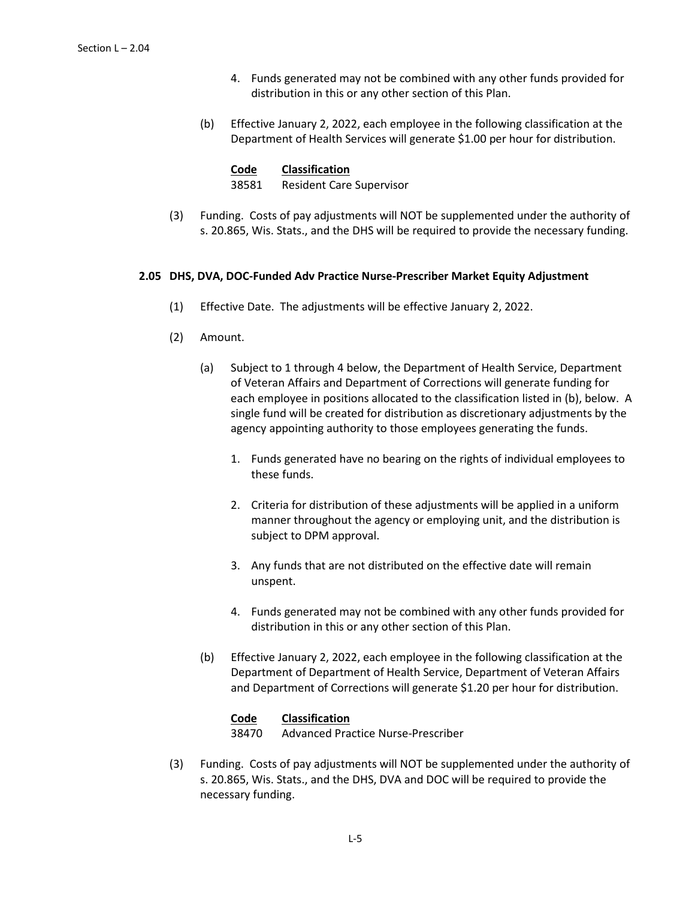- 4. Funds generated may not be combined with any other funds provided for distribution in this or any other section of this Plan.
- (b) Effective January 2, 2022, each employee in the following classification at the Department of Health Services will generate \$1.00 per hour for distribution.

38581 Resident Care Supervisor

(3) Funding. Costs of pay adjustments will NOT be supplemented under the authority of s. 20.865, Wis. Stats., and the DHS will be required to provide the necessary funding.

## **2.05 DHS, DVA, DOC-Funded Adv Practice Nurse-Prescriber Market Equity Adjustment**

- (1) Effective Date. The adjustments will be effective January 2, 2022.
- (2) Amount.
	- (a) Subject to 1 through 4 below, the Department of Health Service, Department of Veteran Affairs and Department of Corrections will generate funding for each employee in positions allocated to the classification listed in (b), below. A single fund will be created for distribution as discretionary adjustments by the agency appointing authority to those employees generating the funds.
		- 1. Funds generated have no bearing on the rights of individual employees to these funds.
		- 2. Criteria for distribution of these adjustments will be applied in a uniform manner throughout the agency or employing unit, and the distribution is subject to DPM approval.
		- 3. Any funds that are not distributed on the effective date will remain unspent.
		- 4. Funds generated may not be combined with any other funds provided for distribution in this or any other section of this Plan.
	- (b) Effective January 2, 2022, each employee in the following classification at the Department of Department of Health Service, Department of Veteran Affairs and Department of Corrections will generate \$1.20 per hour for distribution.

### **Code Classification**

38470 Advanced Practice Nurse-Prescriber

(3) Funding. Costs of pay adjustments will NOT be supplemented under the authority of s. 20.865, Wis. Stats., and the DHS, DVA and DOC will be required to provide the necessary funding.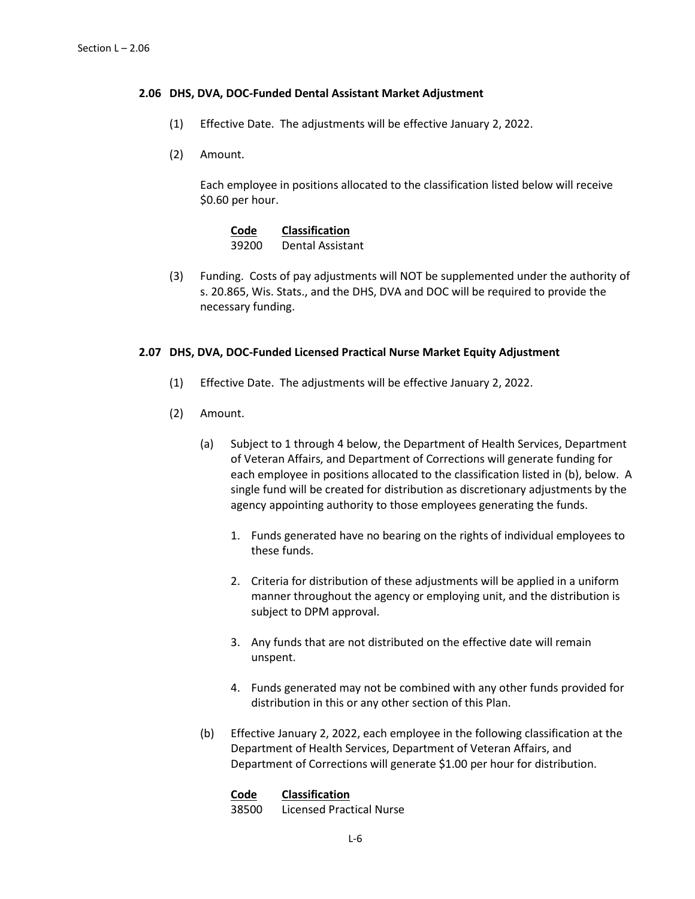### **2.06 DHS, DVA, DOC-Funded Dental Assistant Market Adjustment**

- (1) Effective Date. The adjustments will be effective January 2, 2022.
- (2) Amount.

Each employee in positions allocated to the classification listed below will receive \$0.60 per hour.

| Code  | <b>Classification</b> |
|-------|-----------------------|
| 39200 | Dental Assistant      |

(3) Funding. Costs of pay adjustments will NOT be supplemented under the authority of s. 20.865, Wis. Stats., and the DHS, DVA and DOC will be required to provide the necessary funding.

## **2.07 DHS, DVA, DOC-Funded Licensed Practical Nurse Market Equity Adjustment**

- (1) Effective Date. The adjustments will be effective January 2, 2022.
- (2) Amount.
	- (a) Subject to 1 through 4 below, the Department of Health Services, Department of Veteran Affairs, and Department of Corrections will generate funding for each employee in positions allocated to the classification listed in (b), below. A single fund will be created for distribution as discretionary adjustments by the agency appointing authority to those employees generating the funds.
		- 1. Funds generated have no bearing on the rights of individual employees to these funds.
		- 2. Criteria for distribution of these adjustments will be applied in a uniform manner throughout the agency or employing unit, and the distribution is subject to DPM approval.
		- 3. Any funds that are not distributed on the effective date will remain unspent.
		- 4. Funds generated may not be combined with any other funds provided for distribution in this or any other section of this Plan.
	- (b) Effective January 2, 2022, each employee in the following classification at the Department of Health Services, Department of Veteran Affairs, and Department of Corrections will generate \$1.00 per hour for distribution.

### **Code Classification**

38500 Licensed Practical Nurse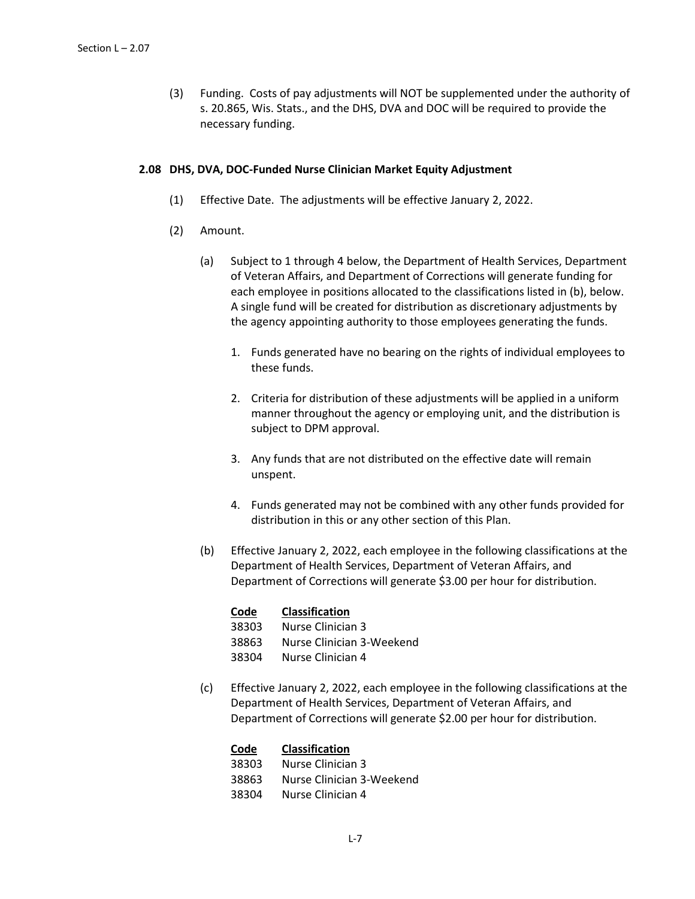(3) Funding. Costs of pay adjustments will NOT be supplemented under the authority of s. 20.865, Wis. Stats., and the DHS, DVA and DOC will be required to provide the necessary funding.

### **2.08 DHS, DVA, DOC-Funded Nurse Clinician Market Equity Adjustment**

- (1) Effective Date. The adjustments will be effective January 2, 2022.
- (2) Amount.
	- (a) Subject to 1 through 4 below, the Department of Health Services, Department of Veteran Affairs, and Department of Corrections will generate funding for each employee in positions allocated to the classifications listed in (b), below. A single fund will be created for distribution as discretionary adjustments by the agency appointing authority to those employees generating the funds.
		- 1. Funds generated have no bearing on the rights of individual employees to these funds.
		- 2. Criteria for distribution of these adjustments will be applied in a uniform manner throughout the agency or employing unit, and the distribution is subject to DPM approval.
		- 3. Any funds that are not distributed on the effective date will remain unspent.
		- 4. Funds generated may not be combined with any other funds provided for distribution in this or any other section of this Plan.
	- (b) Effective January 2, 2022, each employee in the following classifications at the Department of Health Services, Department of Veteran Affairs, and Department of Corrections will generate \$3.00 per hour for distribution.

| Code  | <b>Classification</b> |
|-------|-----------------------|
| 38303 | Nurse Clinician 3     |

- 38863 Nurse Clinician 3-Weekend
- 38304 Nurse Clinician 4
- (c) Effective January 2, 2022, each employee in the following classifications at the Department of Health Services, Department of Veteran Affairs, and Department of Corrections will generate \$2.00 per hour for distribution.

| Code  | <b>Classification</b>     |
|-------|---------------------------|
| 38303 | Nurse Clinician 3         |
| 38863 | Nurse Clinician 3-Weekend |
| 38304 | Nurse Clinician 4         |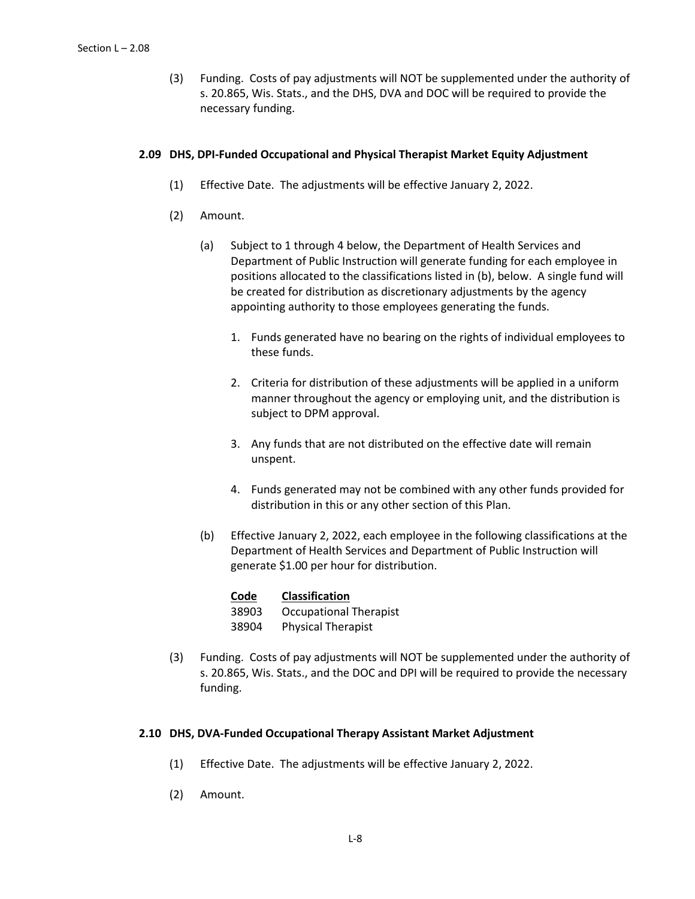(3) Funding. Costs of pay adjustments will NOT be supplemented under the authority of s. 20.865, Wis. Stats., and the DHS, DVA and DOC will be required to provide the necessary funding.

## **2.09 DHS, DPI-Funded Occupational and Physical Therapist Market Equity Adjustment**

- (1) Effective Date. The adjustments will be effective January 2, 2022.
- (2) Amount.
	- (a) Subject to 1 through 4 below, the Department of Health Services and Department of Public Instruction will generate funding for each employee in positions allocated to the classifications listed in (b), below. A single fund will be created for distribution as discretionary adjustments by the agency appointing authority to those employees generating the funds.
		- 1. Funds generated have no bearing on the rights of individual employees to these funds.
		- 2. Criteria for distribution of these adjustments will be applied in a uniform manner throughout the agency or employing unit, and the distribution is subject to DPM approval.
		- 3. Any funds that are not distributed on the effective date will remain unspent.
		- 4. Funds generated may not be combined with any other funds provided for distribution in this or any other section of this Plan.
	- (b) Effective January 2, 2022, each employee in the following classifications at the Department of Health Services and Department of Public Instruction will generate \$1.00 per hour for distribution.

| Code  | Classification                |
|-------|-------------------------------|
| 38903 | <b>Occupational Therapist</b> |
| 38904 | <b>Physical Therapist</b>     |

(3) Funding. Costs of pay adjustments will NOT be supplemented under the authority of s. 20.865, Wis. Stats., and the DOC and DPI will be required to provide the necessary funding.

### **2.10 DHS, DVA-Funded Occupational Therapy Assistant Market Adjustment**

- (1) Effective Date. The adjustments will be effective January 2, 2022.
- (2) Amount.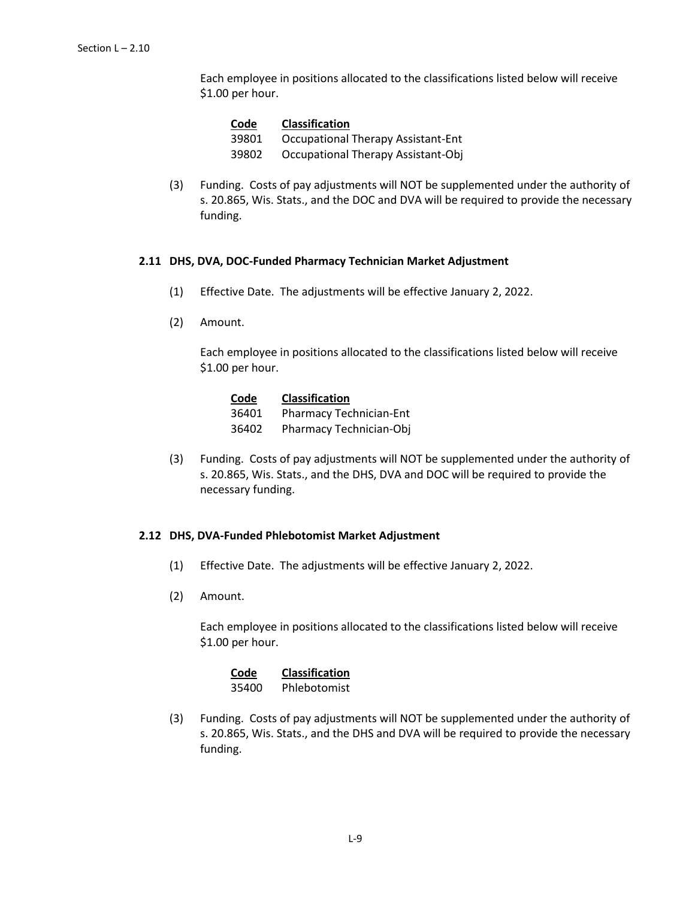Each employee in positions allocated to the classifications listed below will receive \$1.00 per hour.

**Code Classification** 39801 Occupational Therapy Assistant-Ent 39802 Occupational Therapy Assistant-Obj

(3) Funding. Costs of pay adjustments will NOT be supplemented under the authority of s. 20.865, Wis. Stats., and the DOC and DVA will be required to provide the necessary funding.

## **2.11 DHS, DVA, DOC-Funded Pharmacy Technician Market Adjustment**

- (1) Effective Date. The adjustments will be effective January 2, 2022.
- (2) Amount.

Each employee in positions allocated to the classifications listed below will receive \$1.00 per hour.

| Code  | <b>Classification</b>   |
|-------|-------------------------|
| 36401 | Pharmacy Technician-Ent |
| 36402 | Pharmacy Technician-Obj |

(3) Funding. Costs of pay adjustments will NOT be supplemented under the authority of s. 20.865, Wis. Stats., and the DHS, DVA and DOC will be required to provide the necessary funding.

### **2.12 DHS, DVA-Funded Phlebotomist Market Adjustment**

- (1) Effective Date. The adjustments will be effective January 2, 2022.
- (2) Amount.

Each employee in positions allocated to the classifications listed below will receive \$1.00 per hour.

| Code  | <b>Classification</b> |
|-------|-----------------------|
| 35400 | Phlebotomist          |

(3) Funding. Costs of pay adjustments will NOT be supplemented under the authority of s. 20.865, Wis. Stats., and the DHS and DVA will be required to provide the necessary funding.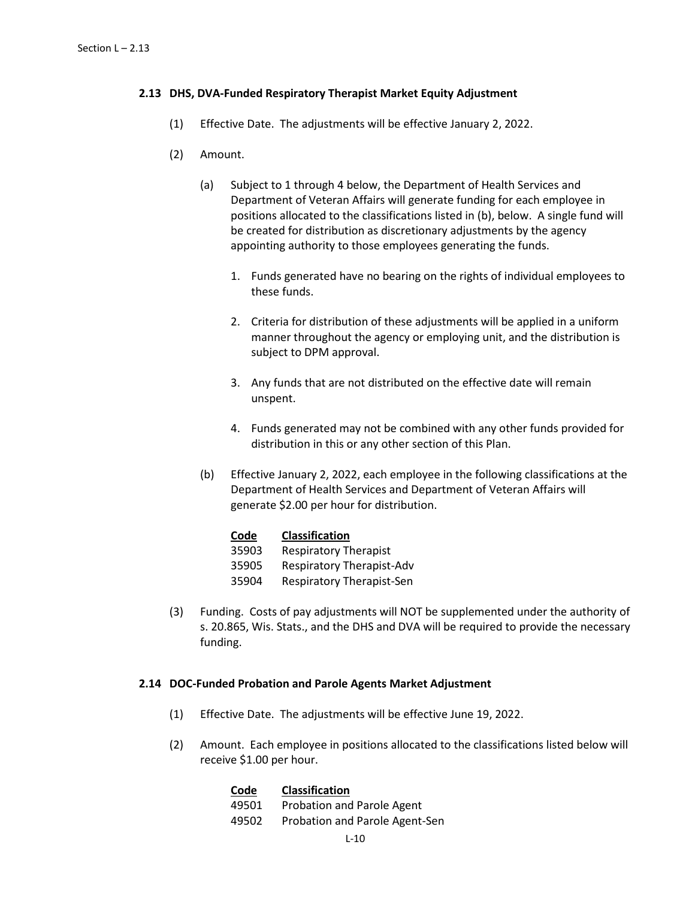## **2.13 DHS, DVA-Funded Respiratory Therapist Market Equity Adjustment**

- (1) Effective Date. The adjustments will be effective January 2, 2022.
- (2) Amount.
	- (a) Subject to 1 through 4 below, the Department of Health Services and Department of Veteran Affairs will generate funding for each employee in positions allocated to the classifications listed in (b), below. A single fund will be created for distribution as discretionary adjustments by the agency appointing authority to those employees generating the funds.
		- 1. Funds generated have no bearing on the rights of individual employees to these funds.
		- 2. Criteria for distribution of these adjustments will be applied in a uniform manner throughout the agency or employing unit, and the distribution is subject to DPM approval.
		- 3. Any funds that are not distributed on the effective date will remain unspent.
		- 4. Funds generated may not be combined with any other funds provided for distribution in this or any other section of this Plan.
	- (b) Effective January 2, 2022, each employee in the following classifications at the Department of Health Services and Department of Veteran Affairs will generate \$2.00 per hour for distribution.

### **Code Classification**

- 35903 Respiratory Therapist
- 35905 Respiratory Therapist-Adv
- 35904 Respiratory Therapist-Sen
- (3) Funding. Costs of pay adjustments will NOT be supplemented under the authority of s. 20.865, Wis. Stats., and the DHS and DVA will be required to provide the necessary funding.

### **2.14 DOC-Funded Probation and Parole Agents Market Adjustment**

- (1) Effective Date. The adjustments will be effective June 19, 2022.
- (2) Amount. Each employee in positions allocated to the classifications listed below will receive \$1.00 per hour.

| Code  | <b>Classification</b>          |
|-------|--------------------------------|
| 49501 | Probation and Parole Agent     |
| 49502 | Probation and Parole Agent-Sen |